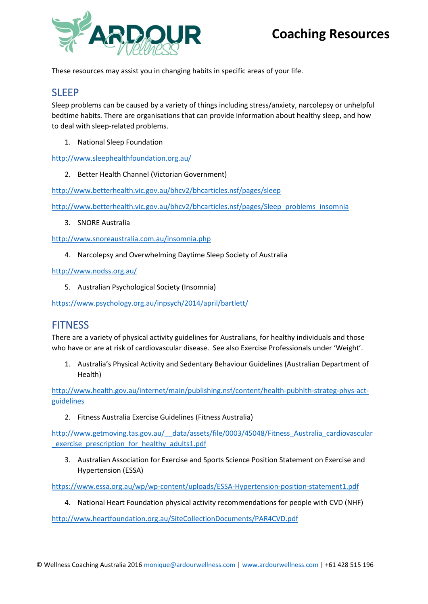

These resources may assist you in changing habits in specific areas of your life.

### SLEEP

Sleep problems can be caused by a variety of things including stress/anxiety, narcolepsy or unhelpful bedtime habits. There are organisations that can provide information about healthy sleep, and how to deal with sleep-related problems.

1. National Sleep Foundation

<http://www.sleephealthfoundation.org.au/>

2. Better Health Channel (Victorian Government)

<http://www.betterhealth.vic.gov.au/bhcv2/bhcarticles.nsf/pages/sleep>

[http://www.betterhealth.vic.gov.au/bhcv2/bhcarticles.nsf/pages/Sleep\\_problems\\_insomnia](http://www.betterhealth.vic.gov.au/bhcv2/bhcarticles.nsf/pages/Sleep_problems_insomnia)

3. SNORE Australia

<http://www.snoreaustralia.com.au/insomnia.php>

4. Narcolepsy and Overwhelming Daytime Sleep Society of Australia

<http://www.nodss.org.au/>

5. Australian Psychological Society (Insomnia)

<https://www.psychology.org.au/inpsych/2014/april/bartlett/>

### **FITNESS**

There are a variety of physical activity guidelines for Australians, for healthy individuals and those who have or are at risk of cardiovascular disease. See also Exercise Professionals under 'Weight'.

1. Australia's Physical Activity and Sedentary Behaviour Guidelines (Australian Department of Health)

[http://www.health.gov.au/internet/main/publishing.nsf/content/health-pubhlth-strateg-phys-act](http://www.health.gov.au/internet/main/publishing.nsf/content/health-pubhlth-strateg-phys-act-guidelines)[guidelines](http://www.health.gov.au/internet/main/publishing.nsf/content/health-pubhlth-strateg-phys-act-guidelines)

2. Fitness Australia Exercise Guidelines (Fitness Australia)

http://www.getmoving.tas.gov.au/ data/assets/file/0003/45048/Fitness Australia cardiovascular exercise prescription for healthy adults1.pdf

3. Australian Association for Exercise and Sports Science Position Statement on Exercise and Hypertension (ESSA)

<https://www.essa.org.au/wp/wp-content/uploads/ESSA-Hypertension-position-statement1.pdf>

4. National Heart Foundation physical activity recommendations for people with CVD (NHF)

<http://www.heartfoundation.org.au/SiteCollectionDocuments/PAR4CVD.pdf>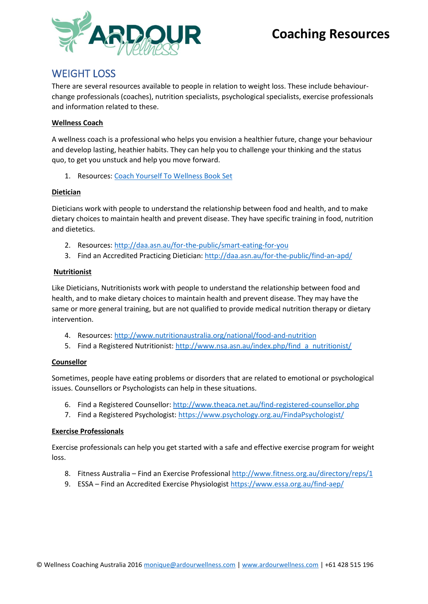

### WEIGHT LOSS

There are several resources available to people in relation to weight loss. These include behaviourchange professionals (coaches), nutrition specialists, psychological specialists, exercise professionals and information related to these.

#### **Wellness Coach**

A wellness coach is a professional who helps you envision a healthier future, change your behaviour and develop lasting, heathier habits. They can help you to challenge your thinking and the status quo, to get you unstuck and help you move forward.

1. Resources: [Coach Yourself To Wellness Book Set](http://www.wellnesscoachingaustralia.com.au/e-shop/books/coach-yourself-to-wellness-bookset)

#### **Dietician**

Dieticians work with people to understand the relationship between food and health, and to make dietary choices to maintain health and prevent disease. They have specific training in food, nutrition and dietetics.

- 2. Resources:<http://daa.asn.au/for-the-public/smart-eating-for-you>
- 3. Find an Accredited Practicing Dietician:<http://daa.asn.au/for-the-public/find-an-apd/>

#### **Nutritionist**

Like Dieticians, Nutritionists work with people to understand the relationship between food and health, and to make dietary choices to maintain health and prevent disease. They may have the same or more general training, but are not qualified to provide medical nutrition therapy or dietary intervention.

- 4. Resources:<http://www.nutritionaustralia.org/national/food-and-nutrition>
- 5. Find a Registered Nutritionist: [http://www.nsa.asn.au/index.php/find\\_a\\_nutritionist/](http://www.nsa.asn.au/index.php/find_a_nutritionist/)

#### **Counsellor**

Sometimes, people have eating problems or disorders that are related to emotional or psychological issues. Counsellors or Psychologists can help in these situations.

- 6. Find a Registered Counsellor[: http://www.theaca.net.au/find-registered-counsellor.php](http://www.theaca.net.au/find-registered-counsellor.php)
- 7. Find a Registered Psychologist:<https://www.psychology.org.au/FindaPsychologist/>

#### **Exercise Professionals**

Exercise professionals can help you get started with a safe and effective exercise program for weight loss.

- 8. Fitness Australia Find an Exercise Professional<http://www.fitness.org.au/directory/reps/1>
- 9. ESSA Find an Accredited Exercise Physiologis[t https://www.essa.org.au/find-aep/](https://www.essa.org.au/find-aep/)